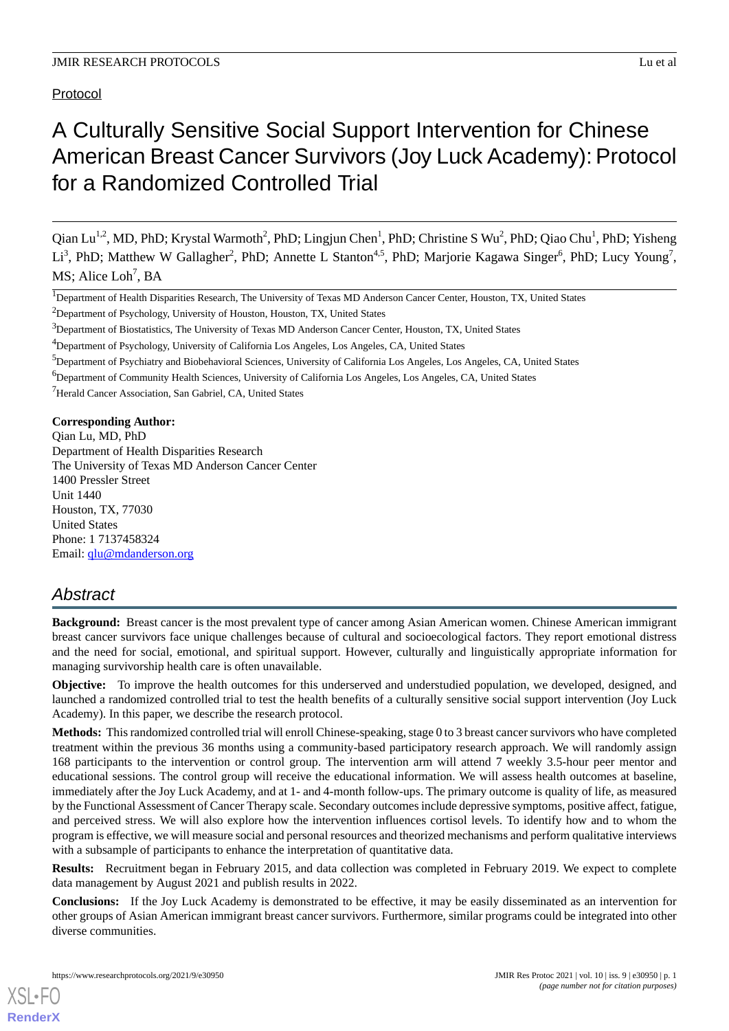Protocol

# A Culturally Sensitive Social Support Intervention for Chinese American Breast Cancer Survivors (Joy Luck Academy): Protocol for a Randomized Controlled Trial

Qian Lu<sup>1,2</sup>, MD, PhD; Krystal Warmoth<sup>2</sup>, PhD; Lingjun Chen<sup>1</sup>, PhD; Christine S Wu<sup>2</sup>, PhD; Qiao Chu<sup>1</sup>, PhD; Yisheng Li<sup>3</sup>, PhD; Matthew W Gallagher<sup>2</sup>, PhD; Annette L Stanton<sup>4,5</sup>, PhD; Marjorie Kagawa Singer<sup>6</sup>, PhD; Lucy Young<sup>7</sup>, MS; Alice Loh<sup>7</sup>, BA

<sup>2</sup>Department of Psychology, University of Houston, Houston, TX, United States

<sup>5</sup>Department of Psychiatry and Biobehavioral Sciences, University of California Los Angeles, Los Angeles, CA, United States

<sup>7</sup>Herald Cancer Association, San Gabriel, CA, United States

**Corresponding Author:**

Qian Lu, MD, PhD Department of Health Disparities Research The University of Texas MD Anderson Cancer Center 1400 Pressler Street Unit 1440 Houston, TX, 77030 United States Phone: 1 7137458324 Email: [qlu@mdanderson.org](mailto:qlu@mdanderson.org)

# *Abstract*

**Background:** Breast cancer is the most prevalent type of cancer among Asian American women. Chinese American immigrant breast cancer survivors face unique challenges because of cultural and socioecological factors. They report emotional distress and the need for social, emotional, and spiritual support. However, culturally and linguistically appropriate information for managing survivorship health care is often unavailable.

**Objective:** To improve the health outcomes for this underserved and understudied population, we developed, designed, and launched a randomized controlled trial to test the health benefits of a culturally sensitive social support intervention (Joy Luck Academy). In this paper, we describe the research protocol.

**Methods:** This randomized controlled trial will enroll Chinese-speaking, stage 0 to 3 breast cancer survivors who have completed treatment within the previous 36 months using a community-based participatory research approach. We will randomly assign 168 participants to the intervention or control group. The intervention arm will attend 7 weekly 3.5-hour peer mentor and educational sessions. The control group will receive the educational information. We will assess health outcomes at baseline, immediately after the Joy Luck Academy, and at 1- and 4-month follow-ups. The primary outcome is quality of life, as measured by the Functional Assessment of Cancer Therapy scale. Secondary outcomes include depressive symptoms, positive affect, fatigue, and perceived stress. We will also explore how the intervention influences cortisol levels. To identify how and to whom the program is effective, we will measure social and personal resources and theorized mechanisms and perform qualitative interviews with a subsample of participants to enhance the interpretation of quantitative data.

**Results:** Recruitment began in February 2015, and data collection was completed in February 2019. We expect to complete data management by August 2021 and publish results in 2022.

**Conclusions:** If the Joy Luck Academy is demonstrated to be effective, it may be easily disseminated as an intervention for other groups of Asian American immigrant breast cancer survivors. Furthermore, similar programs could be integrated into other diverse communities.

<sup>&</sup>lt;sup>1</sup>Department of Health Disparities Research, The University of Texas MD Anderson Cancer Center, Houston, TX, United States

<sup>&</sup>lt;sup>3</sup>Department of Biostatistics, The University of Texas MD Anderson Cancer Center, Houston, TX, United States

<sup>4</sup>Department of Psychology, University of California Los Angeles, Los Angeles, CA, United States

<sup>6</sup>Department of Community Health Sciences, University of California Los Angeles, Los Angeles, CA, United States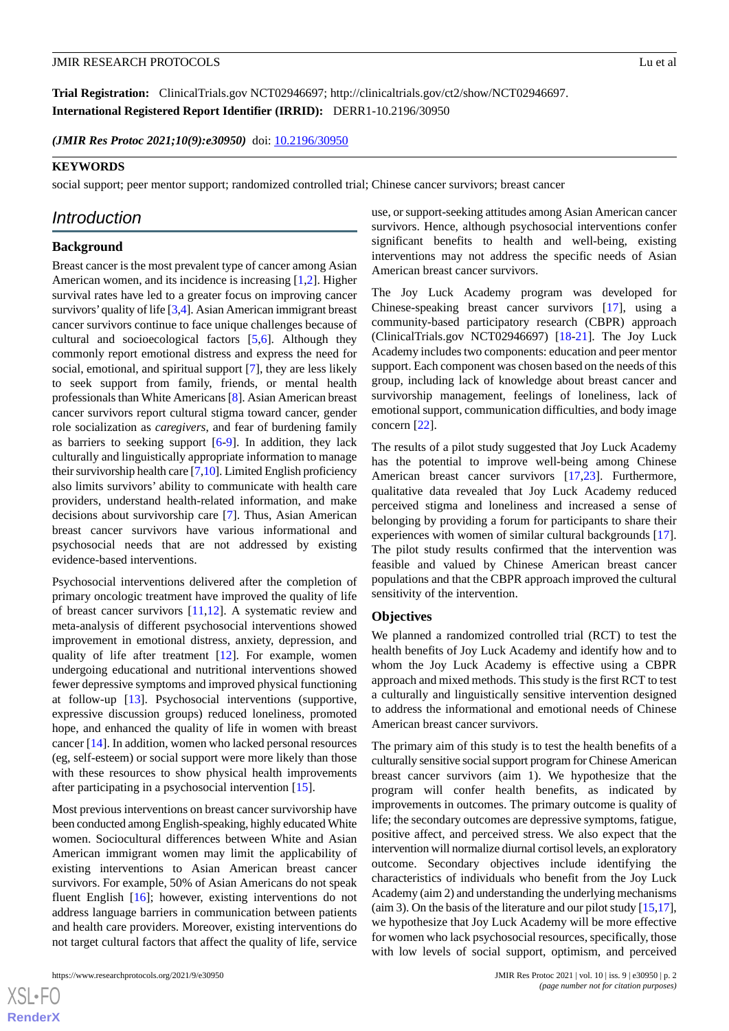**Trial Registration:** ClinicalTrials.gov NCT02946697; http://clinicaltrials.gov/ct2/show/NCT02946697. **International Registered Report Identifier (IRRID):** DERR1-10.2196/30950

*(JMIR Res Protoc 2021;10(9):e30950)* doi: [10.2196/30950](http://dx.doi.org/10.2196/30950)

#### **KEYWORDS**

social support; peer mentor support; randomized controlled trial; Chinese cancer survivors; breast cancer

# *Introduction*

# **Background**

Breast cancer is the most prevalent type of cancer among Asian American women, and its incidence is increasing [\[1](#page-6-0),[2\]](#page-6-1). Higher survival rates have led to a greater focus on improving cancer survivors'quality of life [\[3](#page-6-2),[4](#page-6-3)]. Asian American immigrant breast cancer survivors continue to face unique challenges because of cultural and socioecological factors [[5,](#page-6-4)[6](#page-7-0)]. Although they commonly report emotional distress and express the need for social, emotional, and spiritual support [[7\]](#page-7-1), they are less likely to seek support from family, friends, or mental health professionals than White Americans [[8](#page-7-2)]. Asian American breast cancer survivors report cultural stigma toward cancer, gender role socialization as *caregivers*, and fear of burdening family as barriers to seeking support [\[6](#page-7-0)-[9\]](#page-7-3). In addition, they lack culturally and linguistically appropriate information to manage their survivorship health care [\[7](#page-7-1)[,10\]](#page-7-4). Limited English proficiency also limits survivors' ability to communicate with health care providers, understand health-related information, and make decisions about survivorship care [\[7](#page-7-1)]. Thus, Asian American breast cancer survivors have various informational and psychosocial needs that are not addressed by existing evidence-based interventions.

Psychosocial interventions delivered after the completion of primary oncologic treatment have improved the quality of life of breast cancer survivors [[11](#page-7-5)[,12](#page-7-6)]. A systematic review and meta-analysis of different psychosocial interventions showed improvement in emotional distress, anxiety, depression, and quality of life after treatment [[12\]](#page-7-6). For example, women undergoing educational and nutritional interventions showed fewer depressive symptoms and improved physical functioning at follow-up [[13\]](#page-7-7). Psychosocial interventions (supportive, expressive discussion groups) reduced loneliness, promoted hope, and enhanced the quality of life in women with breast cancer [[14\]](#page-7-8). In addition, women who lacked personal resources (eg, self-esteem) or social support were more likely than those with these resources to show physical health improvements after participating in a psychosocial intervention [[15\]](#page-7-9).

Most previous interventions on breast cancer survivorship have been conducted among English-speaking, highly educated White women. Sociocultural differences between White and Asian American immigrant women may limit the applicability of existing interventions to Asian American breast cancer survivors. For example, 50% of Asian Americans do not speak fluent English [\[16](#page-7-10)]; however, existing interventions do not address language barriers in communication between patients and health care providers. Moreover, existing interventions do not target cultural factors that affect the quality of life, service

 $XSI - F($ **[RenderX](http://www.renderx.com/)** use, or support-seeking attitudes among Asian American cancer survivors. Hence, although psychosocial interventions confer significant benefits to health and well-being, existing interventions may not address the specific needs of Asian American breast cancer survivors.

The Joy Luck Academy program was developed for Chinese-speaking breast cancer survivors [[17\]](#page-7-11), using a community-based participatory research (CBPR) approach (ClinicalTrials.gov NCT02946697) [[18](#page-7-12)[-21](#page-7-13)]. The Joy Luck Academy includes two components: education and peer mentor support. Each component was chosen based on the needs of this group, including lack of knowledge about breast cancer and survivorship management, feelings of loneliness, lack of emotional support, communication difficulties, and body image concern [\[22](#page-7-14)].

The results of a pilot study suggested that Joy Luck Academy has the potential to improve well-being among Chinese American breast cancer survivors [\[17](#page-7-11),[23\]](#page-7-15). Furthermore, qualitative data revealed that Joy Luck Academy reduced perceived stigma and loneliness and increased a sense of belonging by providing a forum for participants to share their experiences with women of similar cultural backgrounds [[17\]](#page-7-11). The pilot study results confirmed that the intervention was feasible and valued by Chinese American breast cancer populations and that the CBPR approach improved the cultural sensitivity of the intervention.

#### **Objectives**

We planned a randomized controlled trial (RCT) to test the health benefits of Joy Luck Academy and identify how and to whom the Joy Luck Academy is effective using a CBPR approach and mixed methods. This study is the first RCT to test a culturally and linguistically sensitive intervention designed to address the informational and emotional needs of Chinese American breast cancer survivors.

The primary aim of this study is to test the health benefits of a culturally sensitive social support program for Chinese American breast cancer survivors (aim 1). We hypothesize that the program will confer health benefits, as indicated by improvements in outcomes. The primary outcome is quality of life; the secondary outcomes are depressive symptoms, fatigue, positive affect, and perceived stress. We also expect that the intervention will normalize diurnal cortisol levels, an exploratory outcome. Secondary objectives include identifying the characteristics of individuals who benefit from the Joy Luck Academy (aim 2) and understanding the underlying mechanisms (aim 3). On the basis of the literature and our pilot study  $[15,17]$  $[15,17]$  $[15,17]$  $[15,17]$ , we hypothesize that Joy Luck Academy will be more effective for women who lack psychosocial resources, specifically, those with low levels of social support, optimism, and perceived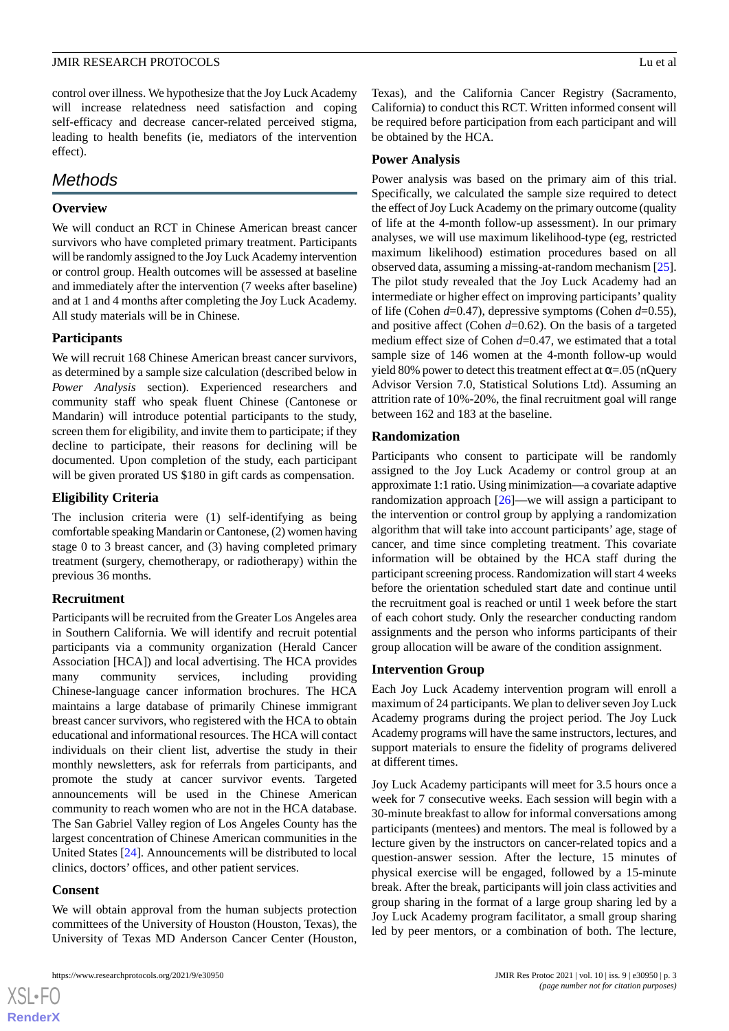control over illness. We hypothesize that the Joy Luck Academy will increase relatedness need satisfaction and coping self-efficacy and decrease cancer-related perceived stigma, leading to health benefits (ie, mediators of the intervention effect).

# *Methods*

# **Overview**

We will conduct an RCT in Chinese American breast cancer survivors who have completed primary treatment. Participants will be randomly assigned to the Joy Luck Academy intervention or control group. Health outcomes will be assessed at baseline and immediately after the intervention (7 weeks after baseline) and at 1 and 4 months after completing the Joy Luck Academy. All study materials will be in Chinese.

# **Participants**

We will recruit 168 Chinese American breast cancer survivors, as determined by a sample size calculation (described below in *Power Analysis* section). Experienced researchers and community staff who speak fluent Chinese (Cantonese or Mandarin) will introduce potential participants to the study, screen them for eligibility, and invite them to participate; if they decline to participate, their reasons for declining will be documented. Upon completion of the study, each participant will be given prorated US \$180 in gift cards as compensation.

# **Eligibility Criteria**

The inclusion criteria were (1) self-identifying as being comfortable speaking Mandarin or Cantonese, (2) women having stage 0 to 3 breast cancer, and (3) having completed primary treatment (surgery, chemotherapy, or radiotherapy) within the previous 36 months.

# **Recruitment**

Participants will be recruited from the Greater Los Angeles area in Southern California. We will identify and recruit potential participants via a community organization (Herald Cancer Association [HCA]) and local advertising. The HCA provides many community services, including providing Chinese-language cancer information brochures. The HCA maintains a large database of primarily Chinese immigrant breast cancer survivors, who registered with the HCA to obtain educational and informational resources. The HCA will contact individuals on their client list, advertise the study in their monthly newsletters, ask for referrals from participants, and promote the study at cancer survivor events. Targeted announcements will be used in the Chinese American community to reach women who are not in the HCA database. The San Gabriel Valley region of Los Angeles County has the largest concentration of Chinese American communities in the United States [[24\]](#page-7-16). Announcements will be distributed to local clinics, doctors' offices, and other patient services.

# **Consent**

[XSL](http://www.w3.org/Style/XSL)•FO **[RenderX](http://www.renderx.com/)**

We will obtain approval from the human subjects protection committees of the University of Houston (Houston, Texas), the University of Texas MD Anderson Cancer Center (Houston,

Texas), and the California Cancer Registry (Sacramento, California) to conduct this RCT. Written informed consent will be required before participation from each participant and will be obtained by the HCA.

# **Power Analysis**

Power analysis was based on the primary aim of this trial. Specifically, we calculated the sample size required to detect the effect of Joy Luck Academy on the primary outcome (quality of life at the 4-month follow-up assessment). In our primary analyses, we will use maximum likelihood-type (eg, restricted maximum likelihood) estimation procedures based on all observed data, assuming a missing-at-random mechanism [[25\]](#page-7-17). The pilot study revealed that the Joy Luck Academy had an intermediate or higher effect on improving participants' quality of life (Cohen *d*=0.47), depressive symptoms (Cohen *d*=0.55), and positive affect (Cohen *d*=0.62). On the basis of a targeted medium effect size of Cohen *d*=0.47, we estimated that a total sample size of 146 women at the 4-month follow-up would yield 80% power to detect this treatment effect at  $\alpha = 0.05$  (nQuery Advisor Version 7.0, Statistical Solutions Ltd). Assuming an attrition rate of 10%-20%, the final recruitment goal will range between 162 and 183 at the baseline.

# **Randomization**

Participants who consent to participate will be randomly assigned to the Joy Luck Academy or control group at an approximate 1:1 ratio. Using minimization—a covariate adaptive randomization approach [\[26](#page-7-18)]—we will assign a participant to the intervention or control group by applying a randomization algorithm that will take into account participants' age, stage of cancer, and time since completing treatment. This covariate information will be obtained by the HCA staff during the participant screening process. Randomization will start 4 weeks before the orientation scheduled start date and continue until the recruitment goal is reached or until 1 week before the start of each cohort study. Only the researcher conducting random assignments and the person who informs participants of their group allocation will be aware of the condition assignment.

# **Intervention Group**

Each Joy Luck Academy intervention program will enroll a maximum of 24 participants. We plan to deliver seven Joy Luck Academy programs during the project period. The Joy Luck Academy programs will have the same instructors, lectures, and support materials to ensure the fidelity of programs delivered at different times.

Joy Luck Academy participants will meet for 3.5 hours once a week for 7 consecutive weeks. Each session will begin with a 30-minute breakfast to allow for informal conversations among participants (mentees) and mentors. The meal is followed by a lecture given by the instructors on cancer-related topics and a question-answer session. After the lecture, 15 minutes of physical exercise will be engaged, followed by a 15-minute break. After the break, participants will join class activities and group sharing in the format of a large group sharing led by a Joy Luck Academy program facilitator, a small group sharing led by peer mentors, or a combination of both. The lecture,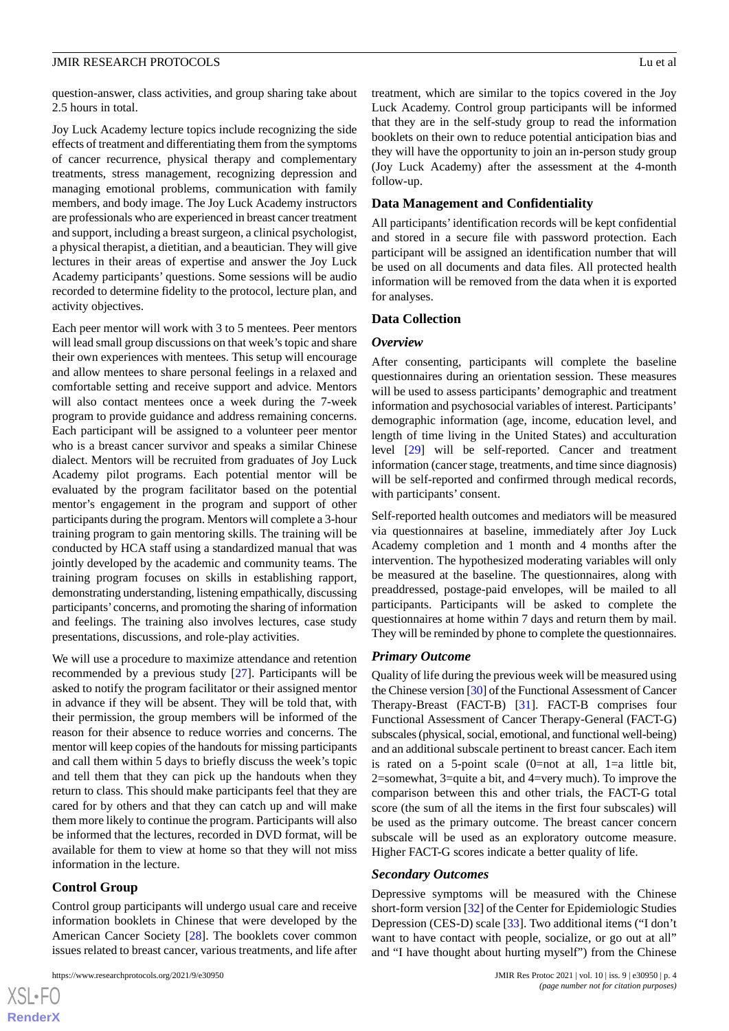question-answer, class activities, and group sharing take about 2.5 hours in total.

Joy Luck Academy lecture topics include recognizing the side effects of treatment and differentiating them from the symptoms of cancer recurrence, physical therapy and complementary treatments, stress management, recognizing depression and managing emotional problems, communication with family members, and body image. The Joy Luck Academy instructors are professionals who are experienced in breast cancer treatment and support, including a breast surgeon, a clinical psychologist, a physical therapist, a dietitian, and a beautician. They will give lectures in their areas of expertise and answer the Joy Luck Academy participants' questions. Some sessions will be audio recorded to determine fidelity to the protocol, lecture plan, and activity objectives.

Each peer mentor will work with 3 to 5 mentees. Peer mentors will lead small group discussions on that week's topic and share their own experiences with mentees. This setup will encourage and allow mentees to share personal feelings in a relaxed and comfortable setting and receive support and advice. Mentors will also contact mentees once a week during the 7-week program to provide guidance and address remaining concerns. Each participant will be assigned to a volunteer peer mentor who is a breast cancer survivor and speaks a similar Chinese dialect. Mentors will be recruited from graduates of Joy Luck Academy pilot programs. Each potential mentor will be evaluated by the program facilitator based on the potential mentor's engagement in the program and support of other participants during the program. Mentors will complete a 3-hour training program to gain mentoring skills. The training will be conducted by HCA staff using a standardized manual that was jointly developed by the academic and community teams. The training program focuses on skills in establishing rapport, demonstrating understanding, listening empathically, discussing participants'concerns, and promoting the sharing of information and feelings. The training also involves lectures, case study presentations, discussions, and role-play activities.

We will use a procedure to maximize attendance and retention recommended by a previous study [\[27](#page-7-19)]. Participants will be asked to notify the program facilitator or their assigned mentor in advance if they will be absent. They will be told that, with their permission, the group members will be informed of the reason for their absence to reduce worries and concerns. The mentor will keep copies of the handouts for missing participants and call them within 5 days to briefly discuss the week's topic and tell them that they can pick up the handouts when they return to class. This should make participants feel that they are cared for by others and that they can catch up and will make them more likely to continue the program. Participants will also be informed that the lectures, recorded in DVD format, will be available for them to view at home so that they will not miss information in the lecture.

#### **Control Group**

Control group participants will undergo usual care and receive information booklets in Chinese that were developed by the American Cancer Society [[28\]](#page-7-20). The booklets cover common issues related to breast cancer, various treatments, and life after

treatment, which are similar to the topics covered in the Joy Luck Academy. Control group participants will be informed that they are in the self-study group to read the information booklets on their own to reduce potential anticipation bias and they will have the opportunity to join an in-person study group (Joy Luck Academy) after the assessment at the 4-month follow-up.

#### **Data Management and Confidentiality**

All participants'identification records will be kept confidential and stored in a secure file with password protection. Each participant will be assigned an identification number that will be used on all documents and data files. All protected health information will be removed from the data when it is exported for analyses.

#### **Data Collection**

#### *Overview*

After consenting, participants will complete the baseline questionnaires during an orientation session. These measures will be used to assess participants' demographic and treatment information and psychosocial variables of interest. Participants' demographic information (age, income, education level, and length of time living in the United States) and acculturation level [[29\]](#page-7-21) will be self-reported. Cancer and treatment information (cancer stage, treatments, and time since diagnosis) will be self-reported and confirmed through medical records, with participants' consent.

Self-reported health outcomes and mediators will be measured via questionnaires at baseline, immediately after Joy Luck Academy completion and 1 month and 4 months after the intervention. The hypothesized moderating variables will only be measured at the baseline. The questionnaires, along with preaddressed, postage-paid envelopes, will be mailed to all participants. Participants will be asked to complete the questionnaires at home within 7 days and return them by mail. They will be reminded by phone to complete the questionnaires.

#### *Primary Outcome*

Quality of life during the previous week will be measured using the Chinese version [\[30](#page-8-0)] of the Functional Assessment of Cancer Therapy-Breast (FACT-B) [\[31](#page-8-1)]. FACT-B comprises four Functional Assessment of Cancer Therapy-General (FACT-G) subscales (physical, social, emotional, and functional well-being) and an additional subscale pertinent to breast cancer. Each item is rated on a 5-point scale  $(0=not at all, 1=a$  little bit, 2=somewhat, 3=quite a bit, and 4=very much). To improve the comparison between this and other trials, the FACT-G total score (the sum of all the items in the first four subscales) will be used as the primary outcome. The breast cancer concern subscale will be used as an exploratory outcome measure. Higher FACT-G scores indicate a better quality of life.

#### *Secondary Outcomes*

Depressive symptoms will be measured with the Chinese short-form version [\[32](#page-8-2)] of the Center for Epidemiologic Studies Depression (CES-D) scale [\[33](#page-8-3)]. Two additional items ("I don't want to have contact with people, socialize, or go out at all" and "I have thought about hurting myself") from the Chinese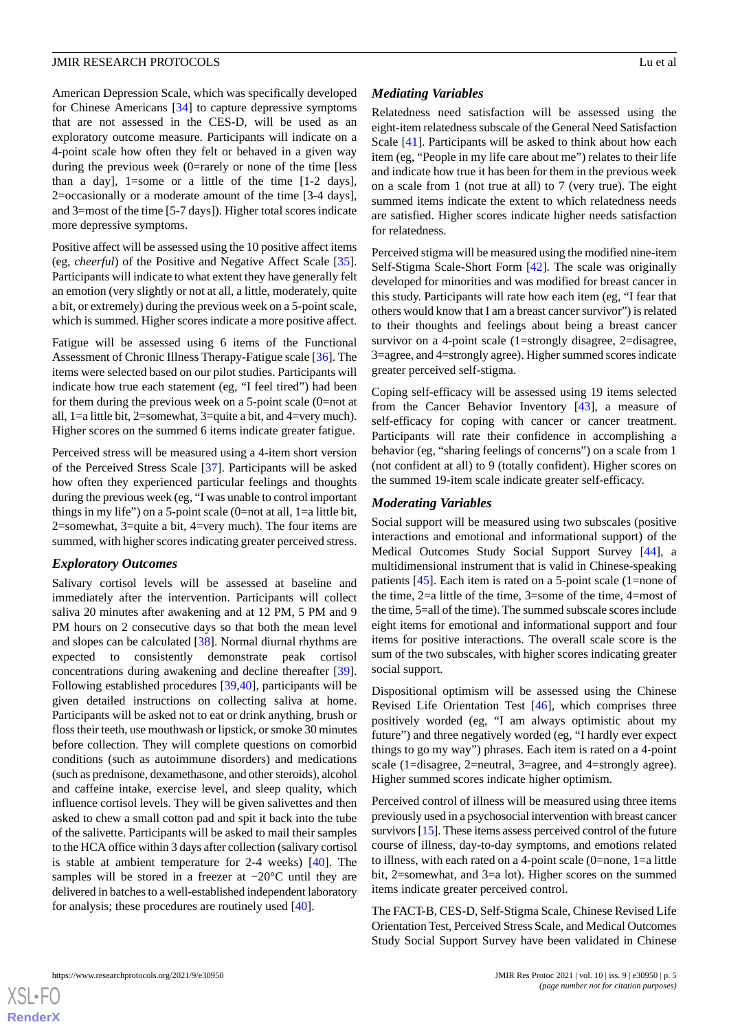American Depression Scale, which was specifically developed for Chinese Americans [[34\]](#page-8-4) to capture depressive symptoms that are not assessed in the CES-D, will be used as an exploratory outcome measure. Participants will indicate on a 4-point scale how often they felt or behaved in a given way during the previous week (0=rarely or none of the time [less than a day], 1=some or a little of the time [1-2 days], 2=occasionally or a moderate amount of the time [3-4 days], and 3=most of the time [5-7 days]). Higher total scores indicate more depressive symptoms.

Positive affect will be assessed using the 10 positive affect items (eg, *cheerful*) of the Positive and Negative Affect Scale [[35\]](#page-8-5). Participants will indicate to what extent they have generally felt an emotion (very slightly or not at all, a little, moderately, quite a bit, or extremely) during the previous week on a 5-point scale, which is summed. Higher scores indicate a more positive affect.

Fatigue will be assessed using 6 items of the Functional Assessment of Chronic Illness Therapy-Fatigue scale [\[36](#page-8-6)]. The items were selected based on our pilot studies. Participants will indicate how true each statement (eg, "I feel tired") had been for them during the previous week on a 5-point scale (0=not at all, 1=a little bit, 2=somewhat, 3=quite a bit, and 4=very much). Higher scores on the summed 6 items indicate greater fatigue.

Perceived stress will be measured using a 4-item short version of the Perceived Stress Scale [[37\]](#page-8-7). Participants will be asked how often they experienced particular feelings and thoughts during the previous week (eg, "I was unable to control important things in my life") on a 5-point scale  $(0=$ not at all, 1=a little bit, 2=somewhat, 3=quite a bit, 4=very much). The four items are summed, with higher scores indicating greater perceived stress.

#### *Exploratory Outcomes*

Salivary cortisol levels will be assessed at baseline and immediately after the intervention. Participants will collect saliva 20 minutes after awakening and at 12 PM, 5 PM and 9 PM hours on 2 consecutive days so that both the mean level and slopes can be calculated [[38\]](#page-8-8). Normal diurnal rhythms are expected to consistently demonstrate peak cortisol concentrations during awakening and decline thereafter [[39\]](#page-8-9). Following established procedures [\[39](#page-8-9),[40\]](#page-8-10), participants will be given detailed instructions on collecting saliva at home. Participants will be asked not to eat or drink anything, brush or floss their teeth, use mouthwash or lipstick, or smoke 30 minutes before collection. They will complete questions on comorbid conditions (such as autoimmune disorders) and medications (such as prednisone, dexamethasone, and other steroids), alcohol and caffeine intake, exercise level, and sleep quality, which influence cortisol levels. They will be given salivettes and then asked to chew a small cotton pad and spit it back into the tube of the salivette. Participants will be asked to mail their samples to the HCA office within 3 days after collection (salivary cortisol is stable at ambient temperature for 2-4 weeks) [\[40](#page-8-10)]. The samples will be stored in a freezer at −20°C until they are delivered in batches to a well-established independent laboratory for analysis; these procedures are routinely used [\[40](#page-8-10)].

#### *Mediating Variables*

Relatedness need satisfaction will be assessed using the eight-item relatedness subscale of the General Need Satisfaction Scale [\[41](#page-8-11)]. Participants will be asked to think about how each item (eg, "People in my life care about me") relates to their life and indicate how true it has been for them in the previous week on a scale from 1 (not true at all) to 7 (very true). The eight summed items indicate the extent to which relatedness needs are satisfied. Higher scores indicate higher needs satisfaction for relatedness.

Perceived stigma will be measured using the modified nine-item Self-Stigma Scale-Short Form [\[42](#page-8-12)]. The scale was originally developed for minorities and was modified for breast cancer in this study. Participants will rate how each item (eg, "I fear that others would know that I am a breast cancer survivor") is related to their thoughts and feelings about being a breast cancer survivor on a 4-point scale (1=strongly disagree, 2=disagree, 3=agree, and 4=strongly agree). Higher summed scores indicate greater perceived self-stigma.

Coping self-efficacy will be assessed using 19 items selected from the Cancer Behavior Inventory [\[43](#page-8-13)], a measure of self-efficacy for coping with cancer or cancer treatment. Participants will rate their confidence in accomplishing a behavior (eg, "sharing feelings of concerns") on a scale from 1 (not confident at all) to 9 (totally confident). Higher scores on the summed 19-item scale indicate greater self-efficacy.

#### *Moderating Variables*

Social support will be measured using two subscales (positive interactions and emotional and informational support) of the Medical Outcomes Study Social Support Survey [\[44](#page-8-14)], a multidimensional instrument that is valid in Chinese-speaking patients [[45\]](#page-8-15). Each item is rated on a 5-point scale (1=none of the time, 2=a little of the time, 3=some of the time, 4=most of the time, 5=all of the time). The summed subscale scores include eight items for emotional and informational support and four items for positive interactions. The overall scale score is the sum of the two subscales, with higher scores indicating greater social support.

Dispositional optimism will be assessed using the Chinese Revised Life Orientation Test [\[46](#page-8-16)], which comprises three positively worded (eg, "I am always optimistic about my future") and three negatively worded (eg, "I hardly ever expect things to go my way") phrases. Each item is rated on a 4-point scale (1=disagree, 2=neutral, 3=agree, and 4=strongly agree). Higher summed scores indicate higher optimism.

Perceived control of illness will be measured using three items previously used in a psychosocial intervention with breast cancer survivors [[15](#page-7-9)]. These items assess perceived control of the future course of illness, day-to-day symptoms, and emotions related to illness, with each rated on a 4-point scale (0=none, 1=a little bit, 2=somewhat, and 3=a lot). Higher scores on the summed items indicate greater perceived control.

The FACT-B, CES-D, Self-Stigma Scale, Chinese Revised Life Orientation Test, Perceived Stress Scale, and Medical Outcomes Study Social Support Survey have been validated in Chinese

 $XS$  • FC **[RenderX](http://www.renderx.com/)**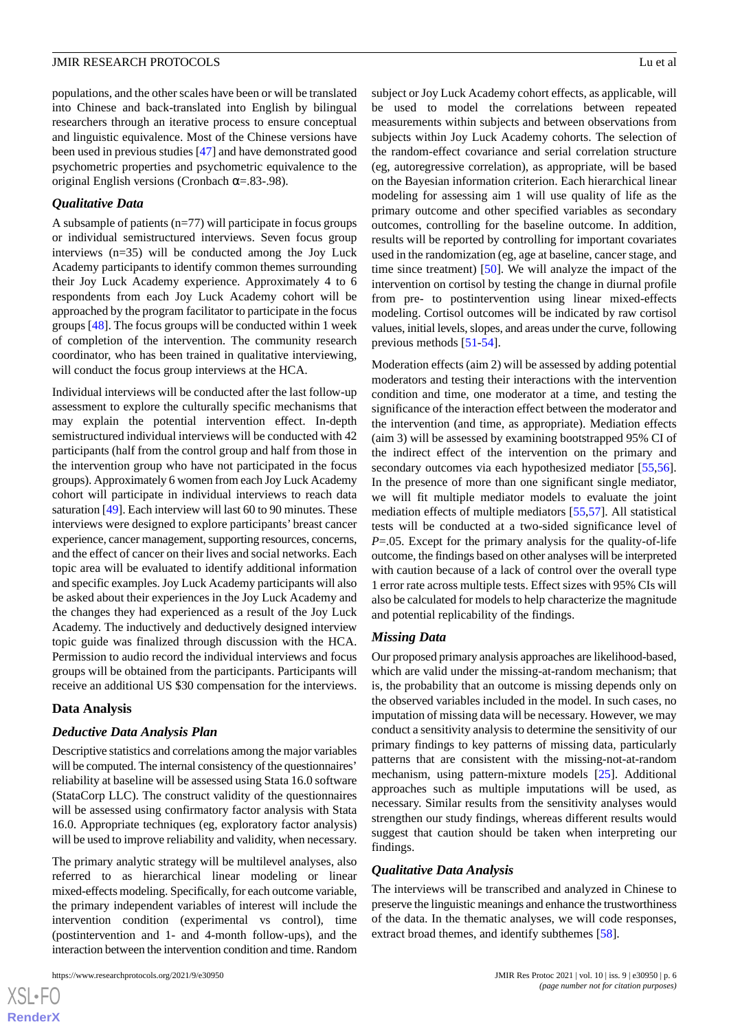populations, and the other scales have been or will be translated into Chinese and back-translated into English by bilingual researchers through an iterative process to ensure conceptual and linguistic equivalence. Most of the Chinese versions have been used in previous studies [\[47](#page-8-17)] and have demonstrated good psychometric properties and psychometric equivalence to the original English versions (Cronbach  $\alpha$ =.83-.98).

### *Qualitative Data*

A subsample of patients  $(n=77)$  will participate in focus groups or individual semistructured interviews. Seven focus group interviews (n=35) will be conducted among the Joy Luck Academy participants to identify common themes surrounding their Joy Luck Academy experience. Approximately 4 to 6 respondents from each Joy Luck Academy cohort will be approached by the program facilitator to participate in the focus groups [\[48](#page-8-18)]. The focus groups will be conducted within 1 week of completion of the intervention. The community research coordinator, who has been trained in qualitative interviewing, will conduct the focus group interviews at the HCA.

Individual interviews will be conducted after the last follow-up assessment to explore the culturally specific mechanisms that may explain the potential intervention effect. In-depth semistructured individual interviews will be conducted with 42 participants (half from the control group and half from those in the intervention group who have not participated in the focus groups). Approximately 6 women from each Joy Luck Academy cohort will participate in individual interviews to reach data saturation [[49\]](#page-8-19). Each interview will last 60 to 90 minutes. These interviews were designed to explore participants' breast cancer experience, cancer management, supporting resources, concerns, and the effect of cancer on their lives and social networks. Each topic area will be evaluated to identify additional information and specific examples. Joy Luck Academy participants will also be asked about their experiences in the Joy Luck Academy and the changes they had experienced as a result of the Joy Luck Academy. The inductively and deductively designed interview topic guide was finalized through discussion with the HCA. Permission to audio record the individual interviews and focus groups will be obtained from the participants. Participants will receive an additional US \$30 compensation for the interviews.

#### **Data Analysis**

#### *Deductive Data Analysis Plan*

Descriptive statistics and correlations among the major variables will be computed. The internal consistency of the questionnaires' reliability at baseline will be assessed using Stata 16.0 software (StataCorp LLC). The construct validity of the questionnaires will be assessed using confirmatory factor analysis with Stata 16.0. Appropriate techniques (eg, exploratory factor analysis) will be used to improve reliability and validity, when necessary.

The primary analytic strategy will be multilevel analyses, also referred to as hierarchical linear modeling or linear mixed-effects modeling. Specifically, for each outcome variable, the primary independent variables of interest will include the intervention condition (experimental vs control), time (postintervention and 1- and 4-month follow-ups), and the interaction between the intervention condition and time. Random

subject or Joy Luck Academy cohort effects, as applicable, will be used to model the correlations between repeated measurements within subjects and between observations from subjects within Joy Luck Academy cohorts. The selection of the random-effect covariance and serial correlation structure (eg, autoregressive correlation), as appropriate, will be based on the Bayesian information criterion. Each hierarchical linear modeling for assessing aim 1 will use quality of life as the primary outcome and other specified variables as secondary outcomes, controlling for the baseline outcome. In addition, results will be reported by controlling for important covariates used in the randomization (eg, age at baseline, cancer stage, and time since treatment) [[50\]](#page-8-20). We will analyze the impact of the intervention on cortisol by testing the change in diurnal profile from pre- to postintervention using linear mixed-effects modeling. Cortisol outcomes will be indicated by raw cortisol values, initial levels, slopes, and areas under the curve, following previous methods [\[51](#page-8-21)[-54](#page-8-22)].

Moderation effects (aim 2) will be assessed by adding potential moderators and testing their interactions with the intervention condition and time, one moderator at a time, and testing the significance of the interaction effect between the moderator and the intervention (and time, as appropriate). Mediation effects (aim 3) will be assessed by examining bootstrapped 95% CI of the indirect effect of the intervention on the primary and secondary outcomes via each hypothesized mediator [\[55](#page-8-23),[56\]](#page-9-0). In the presence of more than one significant single mediator, we will fit multiple mediator models to evaluate the joint mediation effects of multiple mediators [\[55](#page-8-23),[57\]](#page-9-1). All statistical tests will be conducted at a two-sided significance level of *P*=.05. Except for the primary analysis for the quality-of-life outcome, the findings based on other analyses will be interpreted with caution because of a lack of control over the overall type 1 error rate across multiple tests. Effect sizes with 95% CIs will also be calculated for models to help characterize the magnitude and potential replicability of the findings.

#### *Missing Data*

Our proposed primary analysis approaches are likelihood-based, which are valid under the missing-at-random mechanism; that is, the probability that an outcome is missing depends only on the observed variables included in the model. In such cases, no imputation of missing data will be necessary. However, we may conduct a sensitivity analysis to determine the sensitivity of our primary findings to key patterns of missing data, particularly patterns that are consistent with the missing-not-at-random mechanism, using pattern-mixture models [[25\]](#page-7-17). Additional approaches such as multiple imputations will be used, as necessary. Similar results from the sensitivity analyses would strengthen our study findings, whereas different results would suggest that caution should be taken when interpreting our findings.

#### *Qualitative Data Analysis*

The interviews will be transcribed and analyzed in Chinese to preserve the linguistic meanings and enhance the trustworthiness of the data. In the thematic analyses, we will code responses, extract broad themes, and identify subthemes [\[58](#page-9-2)].

```
XS-FO
RenderX
```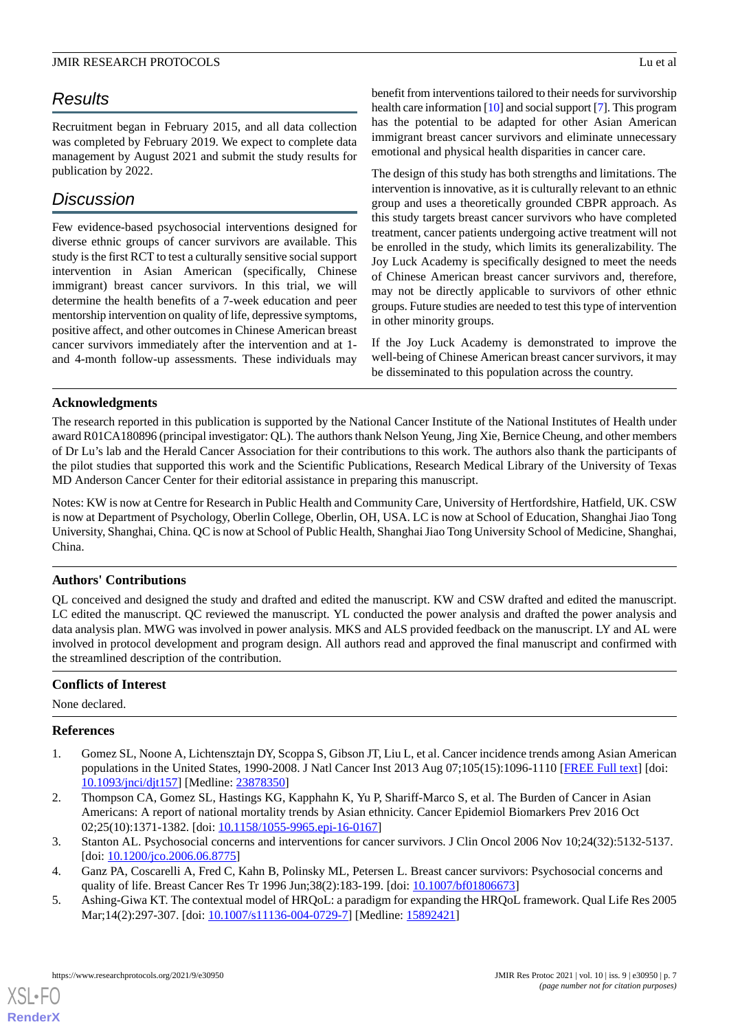# *Results*

Recruitment began in February 2015, and all data collection was completed by February 2019. We expect to complete data management by August 2021 and submit the study results for publication by 2022.

# *Discussion*

Few evidence-based psychosocial interventions designed for diverse ethnic groups of cancer survivors are available. This study is the first RCT to test a culturally sensitive social support intervention in Asian American (specifically, Chinese immigrant) breast cancer survivors. In this trial, we will determine the health benefits of a 7-week education and peer mentorship intervention on quality of life, depressive symptoms, positive affect, and other outcomes in Chinese American breast cancer survivors immediately after the intervention and at 1 and 4-month follow-up assessments. These individuals may

benefit from interventions tailored to their needs for survivorship health care information [\[10](#page-7-4)] and social support [\[7\]](#page-7-1). This program has the potential to be adapted for other Asian American immigrant breast cancer survivors and eliminate unnecessary emotional and physical health disparities in cancer care.

The design of this study has both strengths and limitations. The intervention is innovative, as it is culturally relevant to an ethnic group and uses a theoretically grounded CBPR approach. As this study targets breast cancer survivors who have completed treatment, cancer patients undergoing active treatment will not be enrolled in the study, which limits its generalizability. The Joy Luck Academy is specifically designed to meet the needs of Chinese American breast cancer survivors and, therefore, may not be directly applicable to survivors of other ethnic groups. Future studies are needed to test this type of intervention in other minority groups.

If the Joy Luck Academy is demonstrated to improve the well-being of Chinese American breast cancer survivors, it may be disseminated to this population across the country.

### **Acknowledgments**

The research reported in this publication is supported by the National Cancer Institute of the National Institutes of Health under award R01CA180896 (principal investigator: QL). The authors thank Nelson Yeung, Jing Xie, Bernice Cheung, and other members of Dr Lu's lab and the Herald Cancer Association for their contributions to this work. The authors also thank the participants of the pilot studies that supported this work and the Scientific Publications, Research Medical Library of the University of Texas MD Anderson Cancer Center for their editorial assistance in preparing this manuscript.

Notes: KW is now at Centre for Research in Public Health and Community Care, University of Hertfordshire, Hatfield, UK. CSW is now at Department of Psychology, Oberlin College, Oberlin, OH, USA. LC is now at School of Education, Shanghai Jiao Tong University, Shanghai, China. QC is now at School of Public Health, Shanghai Jiao Tong University School of Medicine, Shanghai, China.

# **Authors' Contributions**

QL conceived and designed the study and drafted and edited the manuscript. KW and CSW drafted and edited the manuscript. LC edited the manuscript. QC reviewed the manuscript. YL conducted the power analysis and drafted the power analysis and data analysis plan. MWG was involved in power analysis. MKS and ALS provided feedback on the manuscript. LY and AL were involved in protocol development and program design. All authors read and approved the final manuscript and confirmed with the streamlined description of the contribution.

# <span id="page-6-0"></span>**Conflicts of Interest**

None declared.

# <span id="page-6-1"></span>**References**

- <span id="page-6-2"></span>1. Gomez SL, Noone A, Lichtensztajn DY, Scoppa S, Gibson JT, Liu L, et al. Cancer incidence trends among Asian American populations in the United States, 1990-2008. J Natl Cancer Inst 2013 Aug 07;105(15):1096-1110 [[FREE Full text](http://europepmc.org/abstract/MED/23878350)] [doi: [10.1093/jnci/djt157](http://dx.doi.org/10.1093/jnci/djt157)] [Medline: [23878350\]](http://www.ncbi.nlm.nih.gov/entrez/query.fcgi?cmd=Retrieve&db=PubMed&list_uids=23878350&dopt=Abstract)
- <span id="page-6-4"></span><span id="page-6-3"></span>2. Thompson CA, Gomez SL, Hastings KG, Kapphahn K, Yu P, Shariff-Marco S, et al. The Burden of Cancer in Asian Americans: A report of national mortality trends by Asian ethnicity. Cancer Epidemiol Biomarkers Prev 2016 Oct 02;25(10):1371-1382. [doi: [10.1158/1055-9965.epi-16-0167](http://dx.doi.org/10.1158/1055-9965.epi-16-0167)]
- 3. Stanton AL. Psychosocial concerns and interventions for cancer survivors. J Clin Oncol 2006 Nov 10;24(32):5132-5137. [doi: [10.1200/jco.2006.06.8775\]](http://dx.doi.org/10.1200/jco.2006.06.8775)
- 4. Ganz PA, Coscarelli A, Fred C, Kahn B, Polinsky ML, Petersen L. Breast cancer survivors: Psychosocial concerns and quality of life. Breast Cancer Res Tr 1996 Jun;38(2):183-199. [doi: [10.1007/bf01806673\]](http://dx.doi.org/10.1007/bf01806673)
- 5. Ashing-Giwa KT. The contextual model of HRQoL: a paradigm for expanding the HRQoL framework. Qual Life Res 2005 Mar;14(2):297-307. [doi: [10.1007/s11136-004-0729-7](http://dx.doi.org/10.1007/s11136-004-0729-7)] [Medline: [15892421](http://www.ncbi.nlm.nih.gov/entrez/query.fcgi?cmd=Retrieve&db=PubMed&list_uids=15892421&dopt=Abstract)]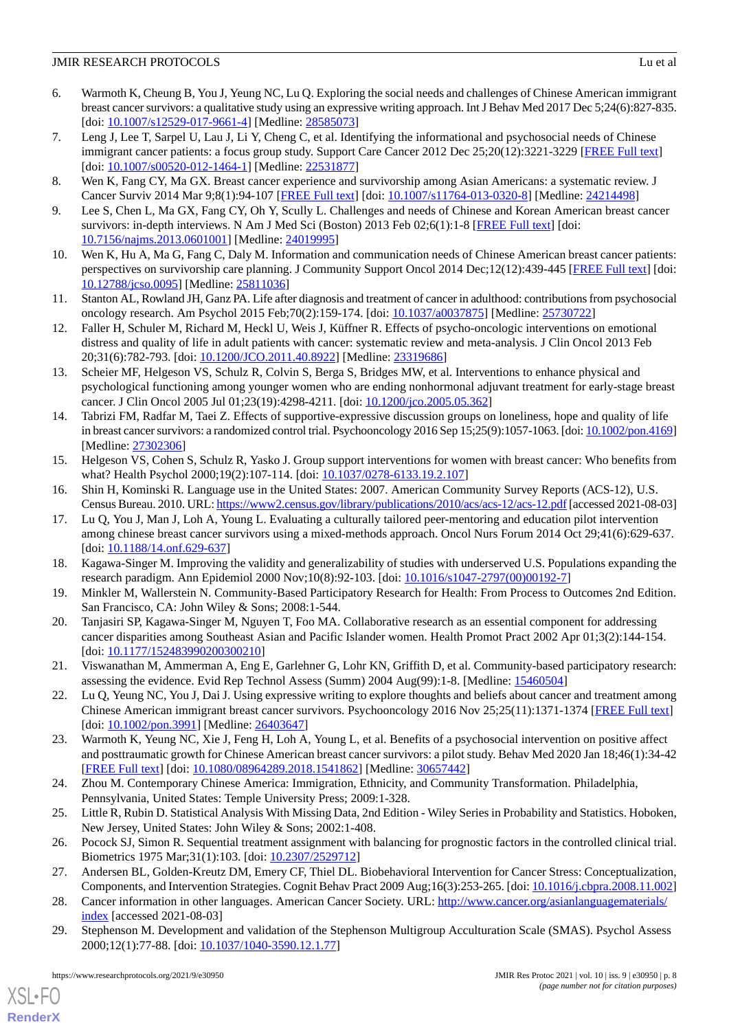- <span id="page-7-0"></span>6. Warmoth K, Cheung B, You J, Yeung NC, Lu Q. Exploring the social needs and challenges of Chinese American immigrant breast cancer survivors: a qualitative study using an expressive writing approach. Int J Behav Med 2017 Dec 5;24(6):827-835. [doi: [10.1007/s12529-017-9661-4](http://dx.doi.org/10.1007/s12529-017-9661-4)] [Medline: [28585073\]](http://www.ncbi.nlm.nih.gov/entrez/query.fcgi?cmd=Retrieve&db=PubMed&list_uids=28585073&dopt=Abstract)
- <span id="page-7-1"></span>7. Leng J, Lee T, Sarpel U, Lau J, Li Y, Cheng C, et al. Identifying the informational and psychosocial needs of Chinese immigrant cancer patients: a focus group study. Support Care Cancer 2012 Dec 25;20(12):3221-3229 [[FREE Full text\]](http://europepmc.org/abstract/MED/22531877) [doi: [10.1007/s00520-012-1464-1](http://dx.doi.org/10.1007/s00520-012-1464-1)] [Medline: [22531877\]](http://www.ncbi.nlm.nih.gov/entrez/query.fcgi?cmd=Retrieve&db=PubMed&list_uids=22531877&dopt=Abstract)
- <span id="page-7-3"></span><span id="page-7-2"></span>8. Wen K, Fang CY, Ma GX. Breast cancer experience and survivorship among Asian Americans: a systematic review. J Cancer Surviv 2014 Mar 9;8(1):94-107 [\[FREE Full text\]](http://europepmc.org/abstract/MED/24214498) [doi: [10.1007/s11764-013-0320-8](http://dx.doi.org/10.1007/s11764-013-0320-8)] [Medline: [24214498\]](http://www.ncbi.nlm.nih.gov/entrez/query.fcgi?cmd=Retrieve&db=PubMed&list_uids=24214498&dopt=Abstract)
- <span id="page-7-4"></span>9. Lee S, Chen L, Ma GX, Fang CY, Oh Y, Scully L. Challenges and needs of Chinese and Korean American breast cancer survivors: in-depth interviews. N Am J Med Sci (Boston) 2013 Feb 02;6(1):1-8 [\[FREE Full text\]](http://europepmc.org/abstract/MED/24019995) [doi: [10.7156/najms.2013.0601001\]](http://dx.doi.org/10.7156/najms.2013.0601001) [Medline: [24019995\]](http://www.ncbi.nlm.nih.gov/entrez/query.fcgi?cmd=Retrieve&db=PubMed&list_uids=24019995&dopt=Abstract)
- <span id="page-7-5"></span>10. Wen K, Hu A, Ma G, Fang C, Daly M. Information and communication needs of Chinese American breast cancer patients: perspectives on survivorship care planning. J Community Support Oncol 2014 Dec;12(12):439-445 [\[FREE Full text](http://europepmc.org/abstract/MED/25811036)] [doi: [10.12788/jcso.0095](http://dx.doi.org/10.12788/jcso.0095)] [Medline: [25811036](http://www.ncbi.nlm.nih.gov/entrez/query.fcgi?cmd=Retrieve&db=PubMed&list_uids=25811036&dopt=Abstract)]
- <span id="page-7-6"></span>11. Stanton AL, Rowland JH, Ganz PA. Life after diagnosis and treatment of cancer in adulthood: contributions from psychosocial oncology research. Am Psychol 2015 Feb;70(2):159-174. [doi: [10.1037/a0037875](http://dx.doi.org/10.1037/a0037875)] [Medline: [25730722](http://www.ncbi.nlm.nih.gov/entrez/query.fcgi?cmd=Retrieve&db=PubMed&list_uids=25730722&dopt=Abstract)]
- <span id="page-7-7"></span>12. Faller H, Schuler M, Richard M, Heckl U, Weis J, Küffner R. Effects of psycho-oncologic interventions on emotional distress and quality of life in adult patients with cancer: systematic review and meta-analysis. J Clin Oncol 2013 Feb 20;31(6):782-793. [doi: [10.1200/JCO.2011.40.8922](http://dx.doi.org/10.1200/JCO.2011.40.8922)] [Medline: [23319686\]](http://www.ncbi.nlm.nih.gov/entrez/query.fcgi?cmd=Retrieve&db=PubMed&list_uids=23319686&dopt=Abstract)
- <span id="page-7-8"></span>13. Scheier MF, Helgeson VS, Schulz R, Colvin S, Berga S, Bridges MW, et al. Interventions to enhance physical and psychological functioning among younger women who are ending nonhormonal adjuvant treatment for early-stage breast cancer. J Clin Oncol 2005 Jul 01;23(19):4298-4211. [doi: [10.1200/jco.2005.05.362\]](http://dx.doi.org/10.1200/jco.2005.05.362)
- <span id="page-7-9"></span>14. Tabrizi FM, Radfar M, Taei Z. Effects of supportive-expressive discussion groups on loneliness, hope and quality of life in breast cancer survivors: a randomized control trial. Psychooncology 2016 Sep 15;25(9):1057-1063. [doi: [10.1002/pon.4169\]](http://dx.doi.org/10.1002/pon.4169) [Medline: [27302306](http://www.ncbi.nlm.nih.gov/entrez/query.fcgi?cmd=Retrieve&db=PubMed&list_uids=27302306&dopt=Abstract)]
- <span id="page-7-11"></span><span id="page-7-10"></span>15. Helgeson VS, Cohen S, Schulz R, Yasko J. Group support interventions for women with breast cancer: Who benefits from what? Health Psychol 2000;19(2):107-114. [doi: [10.1037/0278-6133.19.2.107](http://dx.doi.org/10.1037/0278-6133.19.2.107)]
- 16. Shin H, Kominski R. Language use in the United States: 2007. American Community Survey Reports (ACS-12), U.S. Census Bureau. 2010. URL:<https://www2.census.gov/library/publications/2010/acs/acs-12/acs-12.pdf> [accessed 2021-08-03]
- <span id="page-7-12"></span>17. Lu Q, You J, Man J, Loh A, Young L. Evaluating a culturally tailored peer-mentoring and education pilot intervention among chinese breast cancer survivors using a mixed-methods approach. Oncol Nurs Forum 2014 Oct 29;41(6):629-637. [doi: [10.1188/14.onf.629-637\]](http://dx.doi.org/10.1188/14.onf.629-637)
- 18. Kagawa-Singer M. Improving the validity and generalizability of studies with underserved U.S. Populations expanding the research paradigm. Ann Epidemiol 2000 Nov;10(8):92-103. [doi: [10.1016/s1047-2797\(00\)00192-7\]](http://dx.doi.org/10.1016/s1047-2797(00)00192-7)
- <span id="page-7-13"></span>19. Minkler M, Wallerstein N. Community-Based Participatory Research for Health: From Process to Outcomes 2nd Edition. San Francisco, CA: John Wiley & Sons; 2008:1-544.
- <span id="page-7-14"></span>20. Tanjasiri SP, Kagawa-Singer M, Nguyen T, Foo MA. Collaborative research as an essential component for addressing cancer disparities among Southeast Asian and Pacific Islander women. Health Promot Pract 2002 Apr 01;3(2):144-154. [doi: [10.1177/152483990200300210](http://dx.doi.org/10.1177/152483990200300210)]
- <span id="page-7-15"></span>21. Viswanathan M, Ammerman A, Eng E, Garlehner G, Lohr KN, Griffith D, et al. Community-based participatory research: assessing the evidence. Evid Rep Technol Assess (Summ) 2004 Aug(99):1-8. [Medline: [15460504](http://www.ncbi.nlm.nih.gov/entrez/query.fcgi?cmd=Retrieve&db=PubMed&list_uids=15460504&dopt=Abstract)]
- <span id="page-7-16"></span>22. Lu Q, Yeung NC, You J, Dai J. Using expressive writing to explore thoughts and beliefs about cancer and treatment among Chinese American immigrant breast cancer survivors. Psychooncology 2016 Nov 25;25(11):1371-1374 [\[FREE Full text\]](http://europepmc.org/abstract/MED/26403647) [doi: [10.1002/pon.3991\]](http://dx.doi.org/10.1002/pon.3991) [Medline: [26403647](http://www.ncbi.nlm.nih.gov/entrez/query.fcgi?cmd=Retrieve&db=PubMed&list_uids=26403647&dopt=Abstract)]
- <span id="page-7-18"></span><span id="page-7-17"></span>23. Warmoth K, Yeung NC, Xie J, Feng H, Loh A, Young L, et al. Benefits of a psychosocial intervention on positive affect and posttraumatic growth for Chinese American breast cancer survivors: a pilot study. Behav Med 2020 Jan 18;46(1):34-42 [[FREE Full text](http://europepmc.org/abstract/MED/30657442)] [doi: [10.1080/08964289.2018.1541862\]](http://dx.doi.org/10.1080/08964289.2018.1541862) [Medline: [30657442](http://www.ncbi.nlm.nih.gov/entrez/query.fcgi?cmd=Retrieve&db=PubMed&list_uids=30657442&dopt=Abstract)]
- <span id="page-7-19"></span>24. Zhou M. Contemporary Chinese America: Immigration, Ethnicity, and Community Transformation. Philadelphia, Pennsylvania, United States: Temple University Press; 2009:1-328.
- <span id="page-7-20"></span>25. Little R, Rubin D. Statistical Analysis With Missing Data, 2nd Edition - Wiley Series in Probability and Statistics. Hoboken, New Jersey, United States: John Wiley & Sons; 2002:1-408.
- <span id="page-7-21"></span>26. Pocock SJ, Simon R. Sequential treatment assignment with balancing for prognostic factors in the controlled clinical trial. Biometrics 1975 Mar;31(1):103. [doi: [10.2307/2529712\]](http://dx.doi.org/10.2307/2529712)
- 27. Andersen BL, Golden-Kreutz DM, Emery CF, Thiel DL. Biobehavioral Intervention for Cancer Stress: Conceptualization, Components, and Intervention Strategies. Cognit Behav Pract 2009 Aug;16(3):253-265. [doi: [10.1016/j.cbpra.2008.11.002\]](http://dx.doi.org/10.1016/j.cbpra.2008.11.002)
- 28. Cancer information in other languages. American Cancer Society. URL: [http://www.cancer.org/asianlanguagematerials/](http://www.cancer.org/asianlanguagematerials/index) [index](http://www.cancer.org/asianlanguagematerials/index) [accessed 2021-08-03]
- 29. Stephenson M. Development and validation of the Stephenson Multigroup Acculturation Scale (SMAS). Psychol Assess 2000;12(1):77-88. [doi: [10.1037/1040-3590.12.1.77\]](http://dx.doi.org/10.1037/1040-3590.12.1.77)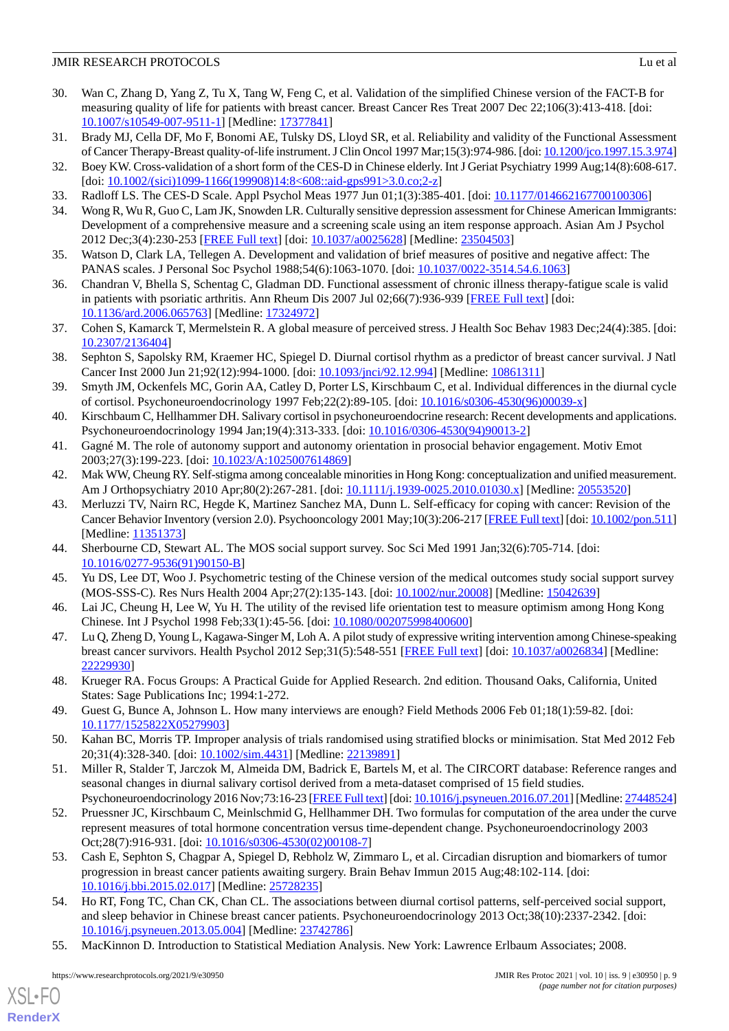### **JMIR RESEARCH PROTOCOLS** Lu et al.

- <span id="page-8-0"></span>30. Wan C, Zhang D, Yang Z, Tu X, Tang W, Feng C, et al. Validation of the simplified Chinese version of the FACT-B for measuring quality of life for patients with breast cancer. Breast Cancer Res Treat 2007 Dec 22;106(3):413-418. [doi: [10.1007/s10549-007-9511-1\]](http://dx.doi.org/10.1007/s10549-007-9511-1) [Medline: [17377841](http://www.ncbi.nlm.nih.gov/entrez/query.fcgi?cmd=Retrieve&db=PubMed&list_uids=17377841&dopt=Abstract)]
- <span id="page-8-1"></span>31. Brady MJ, Cella DF, Mo F, Bonomi AE, Tulsky DS, Lloyd SR, et al. Reliability and validity of the Functional Assessment of Cancer Therapy-Breast quality-of-life instrument. J Clin Oncol 1997 Mar;15(3):974-986. [doi: [10.1200/jco.1997.15.3.974\]](http://dx.doi.org/10.1200/jco.1997.15.3.974)
- <span id="page-8-3"></span><span id="page-8-2"></span>32. Boey KW. Cross-validation of a short form of the CES-D in Chinese elderly. Int J Geriat Psychiatry 1999 Aug;14(8):608-617. [doi: [10.1002/\(sici\)1099-1166\(199908\)14:8<608::aid-gps991>3.0.co;2-z\]](http://dx.doi.org/10.1002/(sici)1099-1166(199908)14:8<608::aid-gps991>3.0.co;2-z)
- <span id="page-8-4"></span>33. Radloff LS. The CES-D Scale. Appl Psychol Meas 1977 Jun 01;1(3):385-401. [doi: [10.1177/014662167700100306](http://dx.doi.org/10.1177/014662167700100306)]
- <span id="page-8-5"></span>34. Wong R, Wu R, Guo C, Lam JK, Snowden LR. Culturally sensitive depression assessment for Chinese American Immigrants: Development of a comprehensive measure and a screening scale using an item response approach. Asian Am J Psychol 2012 Dec;3(4):230-253 [\[FREE Full text\]](http://europepmc.org/abstract/MED/23504503) [doi: [10.1037/a0025628\]](http://dx.doi.org/10.1037/a0025628) [Medline: [23504503\]](http://www.ncbi.nlm.nih.gov/entrez/query.fcgi?cmd=Retrieve&db=PubMed&list_uids=23504503&dopt=Abstract)
- <span id="page-8-6"></span>35. Watson D, Clark LA, Tellegen A. Development and validation of brief measures of positive and negative affect: The PANAS scales. J Personal Soc Psychol 1988;54(6):1063-1070. [doi: [10.1037/0022-3514.54.6.1063](http://dx.doi.org/10.1037/0022-3514.54.6.1063)]
- <span id="page-8-7"></span>36. Chandran V, Bhella S, Schentag C, Gladman DD. Functional assessment of chronic illness therapy-fatigue scale is valid in patients with psoriatic arthritis. Ann Rheum Dis 2007 Jul 02;66(7):936-939 [\[FREE Full text\]](http://europepmc.org/abstract/MED/17324972) [doi: [10.1136/ard.2006.065763\]](http://dx.doi.org/10.1136/ard.2006.065763) [Medline: [17324972](http://www.ncbi.nlm.nih.gov/entrez/query.fcgi?cmd=Retrieve&db=PubMed&list_uids=17324972&dopt=Abstract)]
- <span id="page-8-8"></span>37. Cohen S, Kamarck T, Mermelstein R. A global measure of perceived stress. J Health Soc Behav 1983 Dec;24(4):385. [doi: [10.2307/2136404\]](http://dx.doi.org/10.2307/2136404)
- <span id="page-8-9"></span>38. Sephton S, Sapolsky RM, Kraemer HC, Spiegel D. Diurnal cortisol rhythm as a predictor of breast cancer survival. J Natl Cancer Inst 2000 Jun 21;92(12):994-1000. [doi: [10.1093/jnci/92.12.994\]](http://dx.doi.org/10.1093/jnci/92.12.994) [Medline: [10861311\]](http://www.ncbi.nlm.nih.gov/entrez/query.fcgi?cmd=Retrieve&db=PubMed&list_uids=10861311&dopt=Abstract)
- <span id="page-8-10"></span>39. Smyth JM, Ockenfels MC, Gorin AA, Catley D, Porter LS, Kirschbaum C, et al. Individual differences in the diurnal cycle of cortisol. Psychoneuroendocrinology 1997 Feb;22(2):89-105. [doi: [10.1016/s0306-4530\(96\)00039-x](http://dx.doi.org/10.1016/s0306-4530(96)00039-x)]
- <span id="page-8-12"></span><span id="page-8-11"></span>40. Kirschbaum C, Hellhammer DH. Salivary cortisol in psychoneuroendocrine research: Recent developments and applications. Psychoneuroendocrinology 1994 Jan;19(4):313-333. [doi: [10.1016/0306-4530\(94\)90013-2\]](http://dx.doi.org/10.1016/0306-4530(94)90013-2)
- <span id="page-8-13"></span>41. Gagné M. The role of autonomy support and autonomy orientation in prosocial behavior engagement. Motiv Emot 2003;27(3):199-223. [doi: [10.1023/A:1025007614869\]](http://dx.doi.org/10.1023/A:1025007614869)
- 42. Mak WW, Cheung RY. Self-stigma among concealable minorities in Hong Kong: conceptualization and unified measurement. Am J Orthopsychiatry 2010 Apr;80(2):267-281. [doi: [10.1111/j.1939-0025.2010.01030.x](http://dx.doi.org/10.1111/j.1939-0025.2010.01030.x)] [Medline: [20553520](http://www.ncbi.nlm.nih.gov/entrez/query.fcgi?cmd=Retrieve&db=PubMed&list_uids=20553520&dopt=Abstract)]
- <span id="page-8-15"></span><span id="page-8-14"></span>43. Merluzzi TV, Nairn RC, Hegde K, Martinez Sanchez MA, Dunn L. Self-efficacy for coping with cancer: Revision of the Cancer Behavior Inventory (version 2.0). Psychooncology 2001 May;10(3):206-217 [[FREE Full text](http://europepmc.org/abstract/MED/11351373)] [doi: [10.1002/pon.511](http://dx.doi.org/10.1002/pon.511)] [Medline: [11351373](http://www.ncbi.nlm.nih.gov/entrez/query.fcgi?cmd=Retrieve&db=PubMed&list_uids=11351373&dopt=Abstract)]
- <span id="page-8-16"></span>44. Sherbourne CD, Stewart AL. The MOS social support survey. Soc Sci Med 1991 Jan;32(6):705-714. [doi: [10.1016/0277-9536\(91\)90150-B\]](http://dx.doi.org/10.1016/0277-9536(91)90150-B)
- <span id="page-8-17"></span>45. Yu DS, Lee DT, Woo J. Psychometric testing of the Chinese version of the medical outcomes study social support survey (MOS-SSS-C). Res Nurs Health 2004 Apr;27(2):135-143. [doi: [10.1002/nur.20008](http://dx.doi.org/10.1002/nur.20008)] [Medline: [15042639\]](http://www.ncbi.nlm.nih.gov/entrez/query.fcgi?cmd=Retrieve&db=PubMed&list_uids=15042639&dopt=Abstract)
- <span id="page-8-18"></span>46. Lai JC, Cheung H, Lee W, Yu H. The utility of the revised life orientation test to measure optimism among Hong Kong Chinese. Int J Psychol 1998 Feb;33(1):45-56. [doi: [10.1080/002075998400600\]](http://dx.doi.org/10.1080/002075998400600)
- <span id="page-8-19"></span>47. Lu Q, Zheng D, Young L, Kagawa-Singer M, Loh A. A pilot study of expressive writing intervention among Chinese-speaking breast cancer survivors. Health Psychol 2012 Sep;31(5):548-551 [\[FREE Full text\]](http://europepmc.org/abstract/MED/22229930) [doi: [10.1037/a0026834\]](http://dx.doi.org/10.1037/a0026834) [Medline: [22229930](http://www.ncbi.nlm.nih.gov/entrez/query.fcgi?cmd=Retrieve&db=PubMed&list_uids=22229930&dopt=Abstract)]
- <span id="page-8-21"></span><span id="page-8-20"></span>48. Krueger RA. Focus Groups: A Practical Guide for Applied Research. 2nd edition. Thousand Oaks, California, United States: Sage Publications Inc; 1994:1-272.
- 49. Guest G, Bunce A, Johnson L. How many interviews are enough? Field Methods 2006 Feb 01;18(1):59-82. [doi: [10.1177/1525822X05279903](http://dx.doi.org/10.1177/1525822X05279903)]
- 50. Kahan BC, Morris TP. Improper analysis of trials randomised using stratified blocks or minimisation. Stat Med 2012 Feb 20;31(4):328-340. [doi: [10.1002/sim.4431\]](http://dx.doi.org/10.1002/sim.4431) [Medline: [22139891\]](http://www.ncbi.nlm.nih.gov/entrez/query.fcgi?cmd=Retrieve&db=PubMed&list_uids=22139891&dopt=Abstract)
- 51. Miller R, Stalder T, Jarczok M, Almeida DM, Badrick E, Bartels M, et al. The CIRCORT database: Reference ranges and seasonal changes in diurnal salivary cortisol derived from a meta-dataset comprised of 15 field studies. Psychoneuroendocrinology 2016 Nov;73:16-23 [[FREE Full text](http://europepmc.org/abstract/MED/27448524)] [doi: [10.1016/j.psyneuen.2016.07.201](http://dx.doi.org/10.1016/j.psyneuen.2016.07.201)] [Medline: [27448524\]](http://www.ncbi.nlm.nih.gov/entrez/query.fcgi?cmd=Retrieve&db=PubMed&list_uids=27448524&dopt=Abstract)
- <span id="page-8-22"></span>52. Pruessner JC, Kirschbaum C, Meinlschmid G, Hellhammer DH. Two formulas for computation of the area under the curve represent measures of total hormone concentration versus time-dependent change. Psychoneuroendocrinology 2003 Oct;28(7):916-931. [doi: [10.1016/s0306-4530\(02\)00108-7](http://dx.doi.org/10.1016/s0306-4530(02)00108-7)]
- <span id="page-8-23"></span>53. Cash E, Sephton S, Chagpar A, Spiegel D, Rebholz W, Zimmaro L, et al. Circadian disruption and biomarkers of tumor progression in breast cancer patients awaiting surgery. Brain Behav Immun 2015 Aug;48:102-114. [doi: [10.1016/j.bbi.2015.02.017](http://dx.doi.org/10.1016/j.bbi.2015.02.017)] [Medline: [25728235](http://www.ncbi.nlm.nih.gov/entrez/query.fcgi?cmd=Retrieve&db=PubMed&list_uids=25728235&dopt=Abstract)]
- 54. Ho RT, Fong TC, Chan CK, Chan CL. The associations between diurnal cortisol patterns, self-perceived social support, and sleep behavior in Chinese breast cancer patients. Psychoneuroendocrinology 2013 Oct;38(10):2337-2342. [doi: [10.1016/j.psyneuen.2013.05.004](http://dx.doi.org/10.1016/j.psyneuen.2013.05.004)] [Medline: [23742786](http://www.ncbi.nlm.nih.gov/entrez/query.fcgi?cmd=Retrieve&db=PubMed&list_uids=23742786&dopt=Abstract)]
- 55. MacKinnon D. Introduction to Statistical Mediation Analysis. New York: Lawrence Erlbaum Associates; 2008.